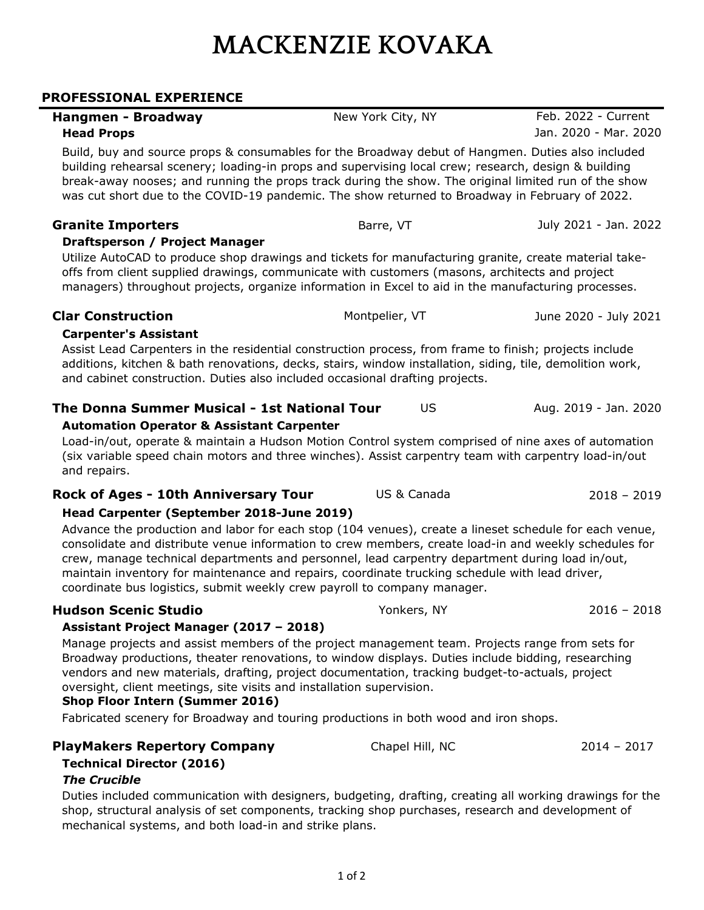# **MACKENZIE KOVAKA**

### **PROFESSIONAL EXPERIENCE**

| Hangmen - Broadway                                                                                                                                                                                                                                                                                                                                                                                                                                                                               | New York City, NY | Feb. 2022 - Current   |  |  |
|--------------------------------------------------------------------------------------------------------------------------------------------------------------------------------------------------------------------------------------------------------------------------------------------------------------------------------------------------------------------------------------------------------------------------------------------------------------------------------------------------|-------------------|-----------------------|--|--|
| <b>Head Props</b>                                                                                                                                                                                                                                                                                                                                                                                                                                                                                |                   | Jan. 2020 - Mar. 2020 |  |  |
| Build, buy and source props & consumables for the Broadway debut of Hangmen. Duties also included<br>building rehearsal scenery; loading-in props and supervising local crew; research, design & building<br>break-away nooses; and running the props track during the show. The original limited run of the show<br>was cut short due to the COVID-19 pandemic. The show returned to Broadway in February of 2022.                                                                              |                   |                       |  |  |
| <b>Granite Importers</b>                                                                                                                                                                                                                                                                                                                                                                                                                                                                         | Barre, VT         | July 2021 - Jan. 2022 |  |  |
| Draftsperson / Project Manager                                                                                                                                                                                                                                                                                                                                                                                                                                                                   |                   |                       |  |  |
| Utilize AutoCAD to produce shop drawings and tickets for manufacturing granite, create material take-<br>offs from client supplied drawings, communicate with customers (masons, architects and project<br>managers) throughout projects, organize information in Excel to aid in the manufacturing processes.                                                                                                                                                                                   |                   |                       |  |  |
| <b>Clar Construction</b>                                                                                                                                                                                                                                                                                                                                                                                                                                                                         | Montpelier, VT    | June 2020 - July 2021 |  |  |
| <b>Carpenter's Assistant</b><br>Assist Lead Carpenters in the residential construction process, from frame to finish; projects include<br>additions, kitchen & bath renovations, decks, stairs, window installation, siding, tile, demolition work,<br>and cabinet construction. Duties also included occasional drafting projects.                                                                                                                                                              |                   |                       |  |  |
| The Donna Summer Musical - 1st National Tour                                                                                                                                                                                                                                                                                                                                                                                                                                                     | US                | Aug. 2019 - Jan. 2020 |  |  |
| <b>Automation Operator &amp; Assistant Carpenter</b>                                                                                                                                                                                                                                                                                                                                                                                                                                             |                   |                       |  |  |
| Load-in/out, operate & maintain a Hudson Motion Control system comprised of nine axes of automation<br>(six variable speed chain motors and three winches). Assist carpentry team with carpentry load-in/out<br>and repairs.                                                                                                                                                                                                                                                                     |                   |                       |  |  |
| <b>Rock of Ages - 10th Anniversary Tour</b>                                                                                                                                                                                                                                                                                                                                                                                                                                                      | US & Canada       | $2018 - 2019$         |  |  |
| Head Carpenter (September 2018-June 2019)                                                                                                                                                                                                                                                                                                                                                                                                                                                        |                   |                       |  |  |
| Advance the production and labor for each stop (104 venues), create a lineset schedule for each venue,<br>consolidate and distribute venue information to crew members, create load-in and weekly schedules for<br>crew, manage technical departments and personnel, lead carpentry department during load in/out,<br>maintain inventory for maintenance and repairs, coordinate trucking schedule with lead driver,<br>coordinate bus logistics, submit weekly crew payroll to company manager. |                   |                       |  |  |
| <b>Hudson Scenic Studio</b>                                                                                                                                                                                                                                                                                                                                                                                                                                                                      | Yonkers, NY       | $2016 - 2018$         |  |  |
| Assistant Project Manager (2017 - 2018)<br>Manage projects and assist members of the project management team. Projects range from sets for<br>Broadway productions, theater renovations, to window displays. Duties include bidding, researching<br>vendors and new materials, drafting, project documentation, tracking budget-to-actuals, project                                                                                                                                              |                   |                       |  |  |

oversight, client meetings, site visits and installation supervision.

## **Shop Floor Intern (Summer 2016)**

Fabricated scenery for Broadway and touring productions in both wood and iron shops.

## **PlayMakers Repertory Company** Chapel Hill, NC 2014 - 2017

### **Technical Director (2016)**

## *The Crucible*

Duties included communication with designers, budgeting, drafting, creating all working drawings for the shop, structural analysis of set components, tracking shop purchases, research and development of mechanical systems, and both load-in and strike plans.